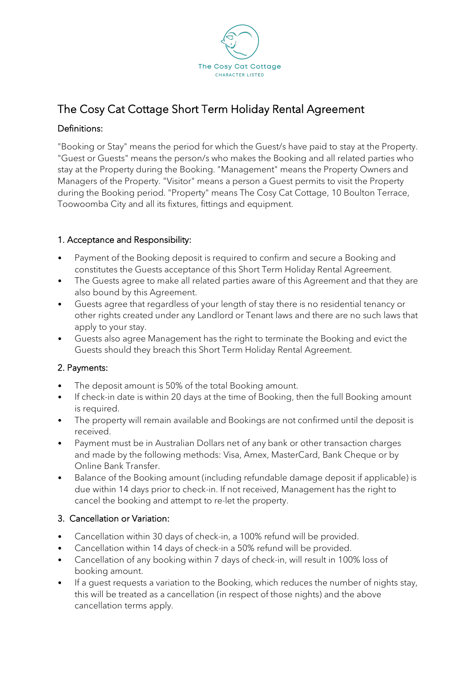

# The Cosy Cat Cottage Short Term Holiday Rental Agreement

# Definitions:

"Booking or Stay" means the period for which the Guest/s have paid to stay at the Property. "Guest or Guests" means the person/s who makes the Booking and all related parties who stay at the Property during the Booking. "Management" means the Property Owners and Managers of the Property. "Visitor" means a person a Guest permits to visit the Property during the Booking period. "Property" means The Cosy Cat Cottage, 10 Boulton Terrace, Toowoomba City and all its fixtures, fittings and equipment.

# 1. Acceptance and Responsibility:

- Payment of the Booking deposit is required to confirm and secure a Booking and constitutes the Guests acceptance of this Short Term Holiday Rental Agreement.
- The Guests agree to make all related parties aware of this Agreement and that they are also bound by this Agreement.
- Guests agree that regardless of your length of stay there is no residential tenancy or other rights created under any Landlord or Tenant laws and there are no such laws that apply to your stay.
- Guests also agree Management has the right to terminate the Booking and evict the Guests should they breach this Short Term Holiday Rental Agreement.

# 2. Payments:

- The deposit amount is 50% of the total Booking amount.
- If check-in date is within 20 days at the time of Booking, then the full Booking amount is required.
- The property will remain available and Bookings are not confirmed until the deposit is received.
- Payment must be in Australian Dollars net of any bank or other transaction charges and made by the following methods: Visa, Amex, MasterCard, Bank Cheque or by Online Bank Transfer.
- Balance of the Booking amount (including refundable damage deposit if applicable) is due within 14 days prior to check-in. If not received, Management has the right to cancel the booking and attempt to re-let the property.

# 3. Cancellation or Variation:

- Cancellation within 30 days of check-in, a 100% refund will be provided.
- Cancellation within 14 days of check-in a 50% refund will be provided.
- Cancellation of any booking within 7 days of check-in, will result in 100% loss of booking amount.
- If a guest requests a variation to the Booking, which reduces the number of nights stay, this will be treated as a cancellation (in respect of those nights) and the above cancellation terms apply.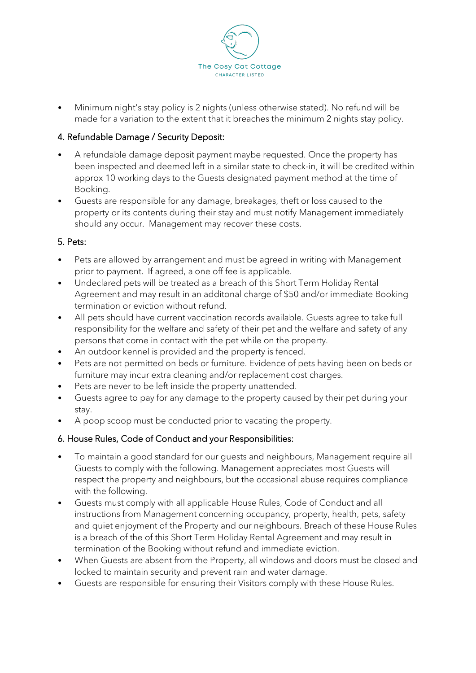

• Minimum night's stay policy is 2 nights (unless otherwise stated). No refund will be made for a variation to the extent that it breaches the minimum 2 nights stay policy.

# 4. Refundable Damage / Security Deposit:

- A refundable damage deposit payment maybe requested. Once the property has been inspected and deemed left in a similar state to check-in, it will be credited within approx 10 working days to the Guests designated payment method at the time of Booking.
- Guests are responsible for any damage, breakages, theft or loss caused to the property or its contents during their stay and must notify Management immediately should any occur. Management may recover these costs.

#### 5. Pets:

- Pets are allowed by arrangement and must be agreed in writing with Management prior to payment. If agreed, a one off fee is applicable.
- Undeclared pets will be treated as a breach of this Short Term Holiday Rental Agreement and may result in an additonal charge of \$50 and/or immediate Booking termination or eviction without refund.
- All pets should have current vaccination records available. Guests agree to take full responsibility for the welfare and safety of their pet and the welfare and safety of any persons that come in contact with the pet while on the property.
- An outdoor kennel is provided and the property is fenced.
- Pets are not permitted on beds or furniture. Evidence of pets having been on beds or furniture may incur extra cleaning and/or replacement cost charges.
- Pets are never to be left inside the property unattended.
- Guests agree to pay for any damage to the property caused by their pet during your stay.
- A poop scoop must be conducted prior to vacating the property.

# 6. House Rules, Code of Conduct and your Responsibilities:

- To maintain a good standard for our guests and neighbours, Management require all Guests to comply with the following. Management appreciates most Guests will respect the property and neighbours, but the occasional abuse requires compliance with the following.
- Guests must comply with all applicable House Rules, Code of Conduct and all instructions from Management concerning occupancy, property, health, pets, safety and quiet enjoyment of the Property and our neighbours. Breach of these House Rules is a breach of the of this Short Term Holiday Rental Agreement and may result in termination of the Booking without refund and immediate eviction.
- When Guests are absent from the Property, all windows and doors must be closed and locked to maintain security and prevent rain and water damage.
- Guests are responsible for ensuring their Visitors comply with these House Rules.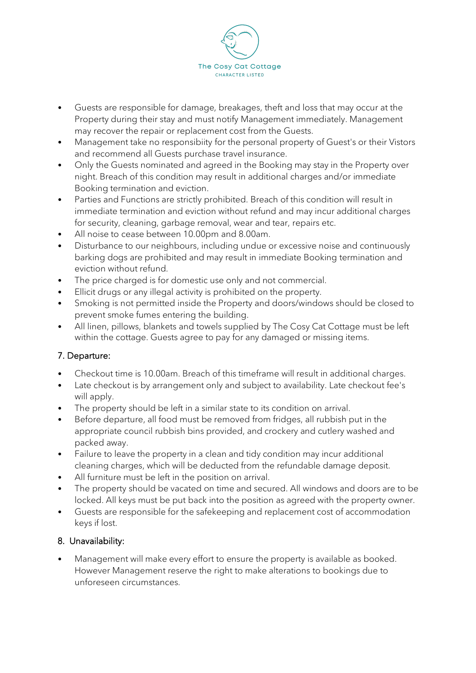

- Guests are responsible for damage, breakages, theft and loss that may occur at the Property during their stay and must notify Management immediately. Management may recover the repair or replacement cost from the Guests.
- Management take no responsibiity for the personal property of Guest's or their Vistors and recommend all Guests purchase travel insurance.
- Only the Guests nominated and agreed in the Booking may stay in the Property over night. Breach of this condition may result in additional charges and/or immediate Booking termination and eviction.
- Parties and Functions are strictly prohibited. Breach of this condition will result in immediate termination and eviction without refund and may incur additional charges for security, cleaning, garbage removal, wear and tear, repairs etc.
- All noise to cease between 10.00pm and 8.00am.
- Disturbance to our neighbours, including undue or excessive noise and continuously barking dogs are prohibited and may result in immediate Booking termination and eviction without refund.
- The price charged is for domestic use only and not commercial.
- Ellicit drugs or any illegal activity is prohibited on the property.
- Smoking is not permitted inside the Property and doors/windows should be closed to prevent smoke fumes entering the building.
- All linen, pillows, blankets and towels supplied by The Cosy Cat Cottage must be left within the cottage. Guests agree to pay for any damaged or missing items.

# 7. Departure:

- Checkout time is 10.00am. Breach of this timeframe will result in additional charges.
- Late checkout is by arrangement only and subject to availability. Late checkout fee's will apply.
- The property should be left in a similar state to its condition on arrival.
- Before departure, all food must be removed from fridges, all rubbish put in the appropriate council rubbish bins provided, and crockery and cutlery washed and packed away.
- Failure to leave the property in a clean and tidy condition may incur additional cleaning charges, which will be deducted from the refundable damage deposit.
- All furniture must be left in the position on arrival.
- The property should be vacated on time and secured. All windows and doors are to be locked. All keys must be put back into the position as agreed with the property owner.
- Guests are responsible for the safekeeping and replacement cost of accommodation keys if lost.

# 8. Unavailability:

Management will make every effort to ensure the property is available as booked. However Management reserve the right to make alterations to bookings due to unforeseen circumstances.